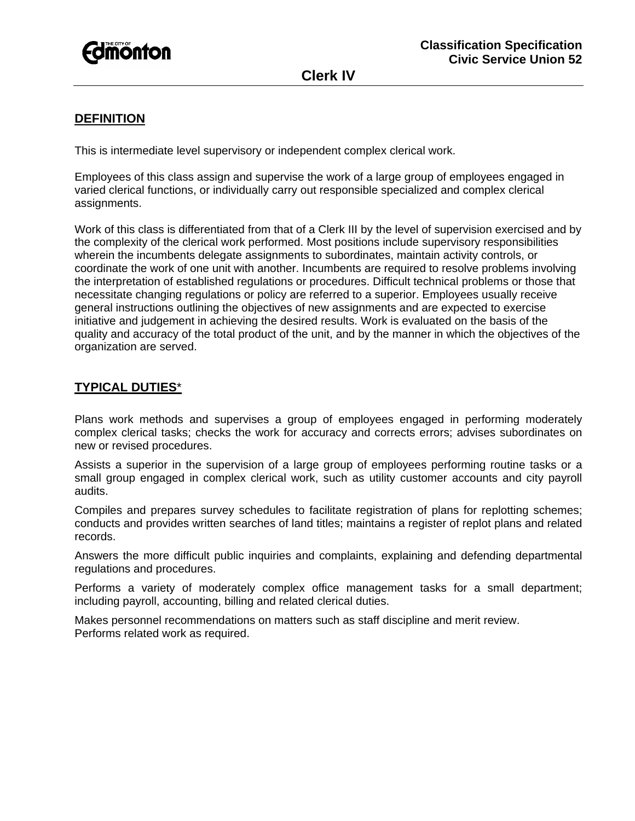

**Clerk IV** 

# **DEFINITION**

This is intermediate level supervisory or independent complex clerical work.

Employees of this class assign and supervise the work of a large group of employees engaged in varied clerical functions, or individually carry out responsible specialized and complex clerical assignments.

Work of this class is differentiated from that of a Clerk III by the level of supervision exercised and by the complexity of the clerical work performed. Most positions include supervisory responsibilities wherein the incumbents delegate assignments to subordinates, maintain activity controls, or coordinate the work of one unit with another. Incumbents are required to resolve problems involving the interpretation of established regulations or procedures. Difficult technical problems or those that necessitate changing regulations or policy are referred to a superior. Employees usually receive general instructions outlining the objectives of new assignments and are expected to exercise initiative and judgement in achieving the desired results. Work is evaluated on the basis of the quality and accuracy of the total product of the unit, and by the manner in which the objectives of the organization are served.

# **TYPICAL DUTIES**\*

Plans work methods and supervises a group of employees engaged in performing moderately complex clerical tasks; checks the work for accuracy and corrects errors; advises subordinates on new or revised procedures.

Assists a superior in the supervision of a large group of employees performing routine tasks or a small group engaged in complex clerical work, such as utility customer accounts and city payroll audits.

Compiles and prepares survey schedules to facilitate registration of plans for replotting schemes; conducts and provides written searches of land titles; maintains a register of replot plans and related records.

Answers the more difficult public inquiries and complaints, explaining and defending departmental regulations and procedures.

Performs a variety of moderately complex office management tasks for a small department; including payroll, accounting, billing and related clerical duties.

Makes personnel recommendations on matters such as staff discipline and merit review. Performs related work as required.